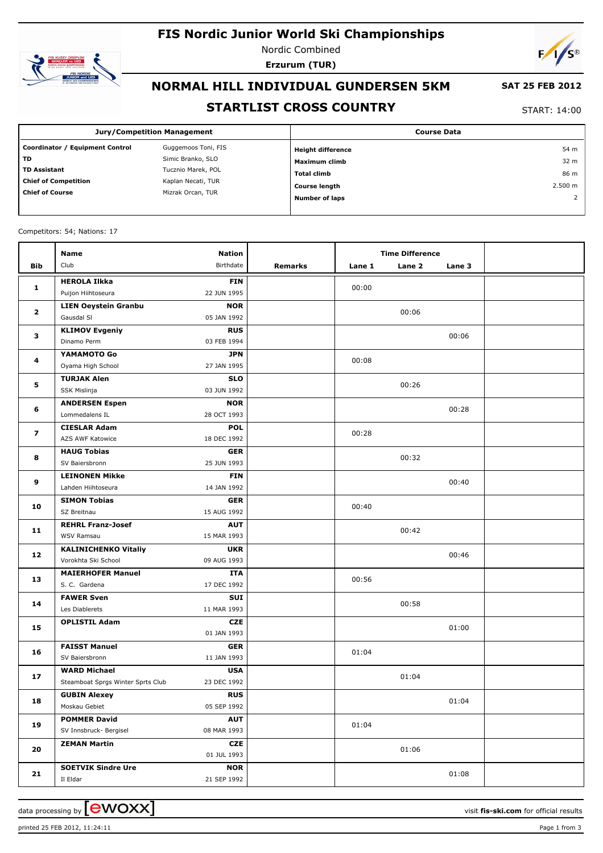# **FIS Nordic Junior World Ski Championships**



Nordic Combined **Erzurum (TUR)**



## **NORMAL HILL INDIVIDUAL GUNDERSEN 5KM**

### **SAT 25 FEB 2012**

### **STARTLIST CROSS COUNTRY**

START: 14:00

|                                 | <b>Jury/Competition Management</b> | <b>Course Data</b>       |                 |  |  |  |
|---------------------------------|------------------------------------|--------------------------|-----------------|--|--|--|
| Coordinator / Equipment Control | Guggemoos Toni, FIS                | <b>Height difference</b> | 54 m            |  |  |  |
| TD                              | Simic Branko, SLO                  | Maximum climb            | 32 <sub>m</sub> |  |  |  |
| <b>TD Assistant</b>             | Tucznio Marek, POL                 | <b>Total climb</b>       | 86 m            |  |  |  |
| <b>Chief of Competition</b>     | Kaplan Necati, TUR                 | <b>Course length</b>     | 2.500 m         |  |  |  |
| <b>Chief of Course</b>          | Mizrak Orcan, TUR                  | <b>Number of laps</b>    |                 |  |  |  |

#### Competitors: 54; Nations: 17

|              | <b>Name</b>                         | <b>Nation</b>             |         |        | <b>Time Difference</b> |        |  |
|--------------|-------------------------------------|---------------------------|---------|--------|------------------------|--------|--|
| Bib          | Club                                | Birthdate                 | Remarks | Lane 1 | Lane 2                 | Lane 3 |  |
|              | <b>HEROLA Ilkka</b>                 | <b>FIN</b>                |         |        |                        |        |  |
| 1            | Puijon Hiihtoseura                  | 22 JUN 1995               |         | 00:00  |                        |        |  |
|              | <b>LIEN Oeystein Granbu</b>         | <b>NOR</b>                |         |        |                        |        |  |
| $\mathbf{2}$ | Gausdal SI                          | 05 JAN 1992               |         |        | 00:06                  |        |  |
|              | <b>KLIMOV Evgeniy</b>               | <b>RUS</b>                |         |        |                        |        |  |
| з            | Dinamo Perm                         | 03 FEB 1994               |         |        |                        | 00:06  |  |
|              | YAMAMOTO Go                         | <b>JPN</b>                |         |        |                        |        |  |
| 4            | Oyama High School                   | 27 JAN 1995               |         | 00:08  |                        |        |  |
| 5            | <b>TURJAK Alen</b>                  | <b>SLO</b>                |         |        | 00:26                  |        |  |
|              | SSK Mislinja                        | 03 JUN 1992               |         |        |                        |        |  |
| 6            | <b>ANDERSEN Espen</b>               | <b>NOR</b>                |         |        |                        | 00:28  |  |
|              | Lommedalens IL                      | 28 OCT 1993               |         |        |                        |        |  |
| 7            | <b>CIESLAR Adam</b>                 | <b>POL</b>                |         | 00:28  |                        |        |  |
|              | AZS AWF Katowice                    | 18 DEC 1992               |         |        |                        |        |  |
| 8            | <b>HAUG Tobias</b>                  | <b>GER</b>                |         |        | 00:32                  |        |  |
|              | SV Baiersbronn                      | 25 JUN 1993               |         |        |                        |        |  |
| 9            | <b>LEINONEN Mikke</b>               | <b>FIN</b>                |         |        |                        | 00:40  |  |
|              | Lahden Hiihtoseura                  | 14 JAN 1992               |         |        |                        |        |  |
| 10           | <b>SIMON Tobias</b>                 | <b>GER</b>                |         | 00:40  |                        |        |  |
|              | SZ Breitnau                         | 15 AUG 1992               |         |        |                        |        |  |
| 11           | <b>REHRL Franz-Josef</b>            | <b>AUT</b>                |         |        | 00:42                  |        |  |
|              | WSV Ramsau                          | 15 MAR 1993               |         |        |                        |        |  |
| 12           | <b>KALINICHENKO Vitaliy</b>         | <b>UKR</b>                |         |        |                        | 00:46  |  |
|              | Vorokhta Ski School                 | 09 AUG 1993               |         |        |                        |        |  |
| 13           | <b>MAIERHOFER Manuel</b>            | ITA                       |         | 00:56  |                        |        |  |
|              | S. C. Gardena                       | 17 DEC 1992<br><b>SUI</b> |         |        |                        |        |  |
| 14           | <b>FAWER Sven</b><br>Les Diablerets | 11 MAR 1993               |         |        | 00:58                  |        |  |
|              | <b>OPLISTIL Adam</b>                | <b>CZE</b>                |         |        |                        |        |  |
| 15           |                                     | 01 JAN 1993               |         |        |                        | 01:00  |  |
|              | <b>FAISST Manuel</b>                | <b>GER</b>                |         |        |                        |        |  |
| 16           | SV Baiersbronn                      | 11 JAN 1993               |         | 01:04  |                        |        |  |
|              | <b>WARD Michael</b>                 | <b>USA</b>                |         |        |                        |        |  |
| 17           | Steamboat Sprgs Winter Sprts Club   | 23 DEC 1992               |         |        | 01:04                  |        |  |
|              | <b>GUBIN Alexey</b>                 | <b>RUS</b>                |         |        |                        |        |  |
| 18           | Moskau Gebiet                       | 05 SEP 1992               |         |        |                        | 01:04  |  |
| 19           | <b>POMMER David</b>                 | <b>AUT</b>                |         |        |                        |        |  |
|              | SV Innsbruck- Bergisel              | 08 MAR 1993               |         | 01:04  |                        |        |  |
| 20           | <b>ZEMAN Martin</b>                 | CZE                       |         |        | 01:06                  |        |  |
|              |                                     | 01 JUL 1993               |         |        |                        |        |  |
|              | <b>SOETVIK Sindre Ure</b>           | <b>NOR</b>                |         |        |                        |        |  |
| 21           | Il Eldar                            | 21 SEP 1992               |         |        |                        | 01:08  |  |

printed 25 FEB 2012, 11:24:11 Page 1 from 3

data processing by  $\boxed{\text{ewOX}}$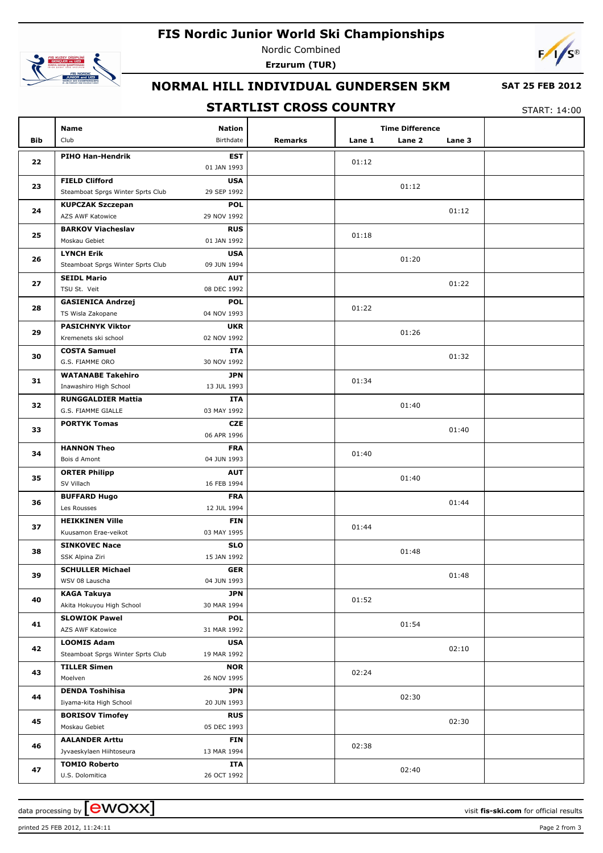# **FIS Nordic Junior World Ski Championships**



Nordic Combined **Erzurum (TUR)**



### **NORMAL HILL INDIVIDUAL GUNDERSEN 5KM**

#### **SAT 25 FEB 2012**

### **STARTLIST CROSS COUNTRY**

START: 14:00

| Bib      | <b>Name</b><br>Club                               | <b>Nation</b><br>Birthdate | Remarks | Lane 1 | <b>Time Difference</b><br>Lane 2 | Lane 3 |  |
|----------|---------------------------------------------------|----------------------------|---------|--------|----------------------------------|--------|--|
|          |                                                   |                            |         |        |                                  |        |  |
| 22       | PIHO Han-Hendrik                                  | <b>EST</b><br>01 JAN 1993  |         | 01:12  |                                  |        |  |
| 23       | <b>FIELD Clifford</b>                             | <b>USA</b>                 |         |        |                                  |        |  |
|          | Steamboat Sprgs Winter Sprts Club                 | 29 SEP 1992                |         |        | 01:12                            |        |  |
|          | <b>KUPCZAK Szczepan</b>                           | <b>POL</b>                 |         |        |                                  |        |  |
| 24       | AZS AWF Katowice                                  | 29 NOV 1992                |         |        |                                  | 01:12  |  |
|          | <b>BARKOV Viacheslav</b>                          | <b>RUS</b>                 |         |        |                                  |        |  |
| 25       | Moskau Gebiet                                     | 01 JAN 1992                |         | 01:18  |                                  |        |  |
|          | <b>LYNCH Erik</b>                                 | <b>USA</b>                 |         |        |                                  |        |  |
| 26       | Steamboat Sprgs Winter Sprts Club                 | 09 JUN 1994                |         |        | 01:20                            |        |  |
|          | <b>SEIDL Mario</b>                                | <b>AUT</b>                 |         |        |                                  |        |  |
| 27       | TSU St. Veit                                      | 08 DEC 1992                |         |        |                                  | 01:22  |  |
|          | <b>GASIENICA Andrzej</b>                          | <b>POL</b>                 |         |        |                                  |        |  |
| 28       | TS Wisla Zakopane                                 | 04 NOV 1993                |         | 01:22  |                                  |        |  |
|          | <b>PASICHNYK Viktor</b>                           | <b>UKR</b>                 |         |        |                                  |        |  |
| 29       | Kremenets ski school                              | 02 NOV 1992                |         |        | 01:26                            |        |  |
|          | <b>COSTA Samuel</b>                               | ITA                        |         |        |                                  |        |  |
| 30       | G.S. FIAMME ORO                                   | 30 NOV 1992                |         |        |                                  | 01:32  |  |
|          | <b>WATANABE Takehiro</b>                          | <b>JPN</b>                 |         |        |                                  |        |  |
| 31       | Inawashiro High School                            | 13 JUL 1993                |         | 01:34  |                                  |        |  |
|          | <b>RUNGGALDIER Mattia</b>                         | <b>ITA</b>                 |         |        |                                  |        |  |
| 32       | G.S. FIAMME GIALLE                                | 03 MAY 1992                |         |        | 01:40                            |        |  |
|          | <b>PORTYK Tomas</b>                               | CZE                        |         |        |                                  |        |  |
| 33       |                                                   | 06 APR 1996                |         |        |                                  | 01:40  |  |
|          | <b>HANNON Theo</b>                                | <b>FRA</b>                 |         |        |                                  |        |  |
| 34       | Bois d Amont                                      | 04 JUN 1993                |         | 01:40  |                                  |        |  |
|          |                                                   | <b>AUT</b>                 |         |        |                                  |        |  |
| 35       | <b>ORTER Philipp</b><br>SV Villach                | 16 FEB 1994                |         |        | 01:40                            |        |  |
|          |                                                   |                            |         |        |                                  |        |  |
| 36       | <b>BUFFARD Hugo</b><br>Les Rousses                | <b>FRA</b><br>12 JUL 1994  |         |        |                                  | 01:44  |  |
|          | <b>HEIKKINEN Ville</b>                            |                            |         |        |                                  |        |  |
| 37       | Kuusamon Erae-veikot                              | <b>FIN</b><br>03 MAY 1995  |         | 01:44  |                                  |        |  |
|          | <b>SINKOVEC Nace</b>                              | <b>SLO</b>                 |         |        |                                  |        |  |
| 38       |                                                   | 15 JAN 1992                |         |        | 01:48                            |        |  |
|          | SSK Alpina Ziri                                   |                            |         |        |                                  |        |  |
| 39       | <b>SCHULLER Michael</b><br>WSV 08 Lauscha         | GER<br>04 JUN 1993         |         |        |                                  | 01:48  |  |
|          |                                                   |                            |         |        |                                  |        |  |
| 40       | <b>KAGA Takuya</b><br>Akita Hokuyou High School   | <b>JPN</b><br>30 MAR 1994  |         | 01:52  |                                  |        |  |
|          |                                                   |                            |         |        |                                  |        |  |
| 41       | <b>SLOWIOK Pawel</b><br>AZS AWF Katowice          | <b>POL</b>                 |         |        | 01:54                            |        |  |
|          |                                                   | 31 MAR 1992                |         |        |                                  |        |  |
| 42       | <b>LOOMIS Adam</b>                                | <b>USA</b><br>19 MAR 1992  |         |        |                                  | 02:10  |  |
|          | Steamboat Sprgs Winter Sprts Club                 |                            |         |        |                                  |        |  |
| 43       | <b>TILLER Simen</b><br>Moelven                    | <b>NOR</b><br>26 NOV 1995  |         | 02:24  |                                  |        |  |
|          |                                                   |                            |         |        |                                  |        |  |
| 44<br>45 | <b>DENDA Toshihisa</b><br>Iiyama-kita High School | JPN<br>20 JUN 1993         |         |        | 02:30                            |        |  |
|          |                                                   |                            |         |        |                                  |        |  |
|          | <b>BORISOV Timofey</b>                            | <b>RUS</b>                 |         |        |                                  | 02:30  |  |
|          | Moskau Gebiet                                     | 05 DEC 1993                |         |        |                                  |        |  |
| 46       | <b>AALANDER Arttu</b><br>Jyvaeskylaen Hiihtoseura | <b>FIN</b><br>13 MAR 1994  |         | 02:38  |                                  |        |  |
|          |                                                   |                            |         |        |                                  |        |  |
| 47       | <b>TOMIO Roberto</b><br>U.S. Dolomitica           | ITA<br>26 OCT 1992         |         |        | 02:40                            |        |  |
|          |                                                   |                            |         |        |                                  |        |  |

printed 25 FEB 2012, 11:24:11 Page 2 from 3

data processing by **CWOXX** and  $\overline{A}$  and  $\overline{B}$  wisit **fis-ski.com** for official results